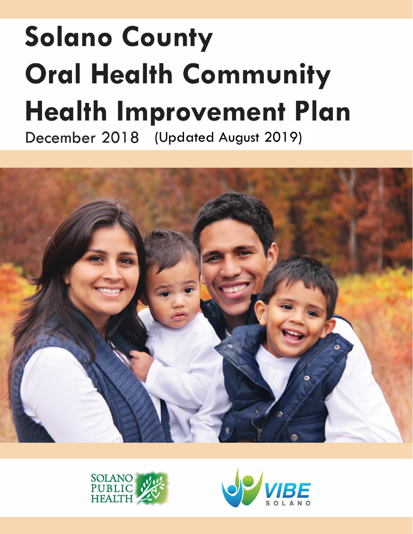# **Solano County Oral Health Community Health Improvement Plan** December 2018 (Updated August 2019)





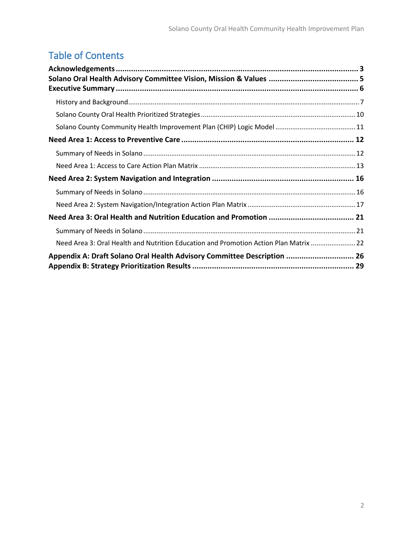# Table of Contents

| Need Area 3: Oral Health and Nutrition Education and Promotion Action Plan Matrix  22 |  |
|---------------------------------------------------------------------------------------|--|
| Appendix A: Draft Solano Oral Health Advisory Committee Description  26               |  |
|                                                                                       |  |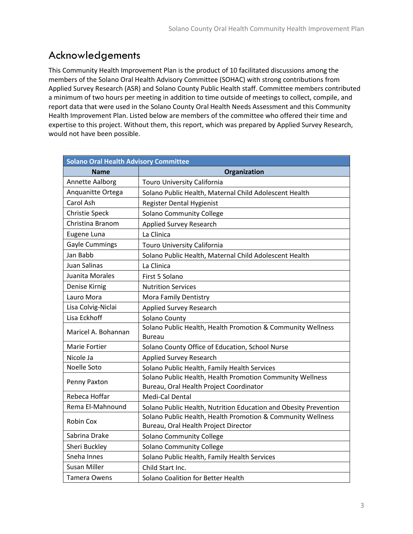### <span id="page-2-0"></span>Acknowledgements

This Community Health Improvement Plan is the product of 10 facilitated discussions among the members of the Solano Oral Health Advisory Committee (SOHAC) with strong contributions from Applied Survey Research (ASR) and Solano County Public Health staff. Committee members contributed a minimum of two hours per meeting in addition to time outside of meetings to collect, compile, and report data that were used in the Solano County Oral Health Needs Assessment and this Community Health Improvement Plan. Listed below are members of the committee who offered their time and expertise to this project. Without them, this report, which was prepared by Applied Survey Research, would not have been possible.

| <b>Solano Oral Health Advisory Committee</b> |                                                                                                      |
|----------------------------------------------|------------------------------------------------------------------------------------------------------|
| <b>Name</b>                                  | Organization                                                                                         |
| Annette Aalborg                              | Touro University California                                                                          |
| Anquanitte Ortega                            | Solano Public Health, Maternal Child Adolescent Health                                               |
| Carol Ash                                    | Register Dental Hygienist                                                                            |
| <b>Christie Speck</b>                        | <b>Solano Community College</b>                                                                      |
| Christina Branom                             | <b>Applied Survey Research</b>                                                                       |
| Eugene Luna                                  | La Clinica                                                                                           |
| <b>Gayle Cummings</b>                        | <b>Touro University California</b>                                                                   |
| Jan Babb                                     | Solano Public Health, Maternal Child Adolescent Health                                               |
| Juan Salinas                                 | La Clinica                                                                                           |
| Juanita Morales                              | First 5 Solano                                                                                       |
| Denise Kirnig                                | <b>Nutrition Services</b>                                                                            |
| Lauro Mora                                   | Mora Family Dentistry                                                                                |
| Lisa Colvig-Niclai                           | <b>Applied Survey Research</b>                                                                       |
| Lisa Eckhoff                                 | Solano County                                                                                        |
| Maricel A. Bohannan                          | Solano Public Health, Health Promotion & Community Wellness<br>Bureau                                |
| <b>Marie Fortier</b>                         | Solano County Office of Education, School Nurse                                                      |
| Nicole Ja                                    | <b>Applied Survey Research</b>                                                                       |
| Noelle Soto                                  | Solano Public Health, Family Health Services                                                         |
| Penny Paxton                                 | Solano Public Health, Health Promotion Community Wellness<br>Bureau, Oral Health Project Coordinator |
| Rebeca Hoffar                                | Medi-Cal Dental                                                                                      |
| Rema El-Mahnound                             | Solano Public Health, Nutrition Education and Obesity Prevention                                     |
| Robin Cox                                    | Solano Public Health, Health Promotion & Community Wellness<br>Bureau, Oral Health Project Director  |
| Sabrina Drake                                | <b>Solano Community College</b>                                                                      |
| Sheri Buckley                                | <b>Solano Community College</b>                                                                      |
| Sneha Innes                                  | Solano Public Health, Family Health Services                                                         |
| Susan Miller                                 | Child Start Inc.                                                                                     |
| Tamera Owens                                 | Solano Coalition for Better Health                                                                   |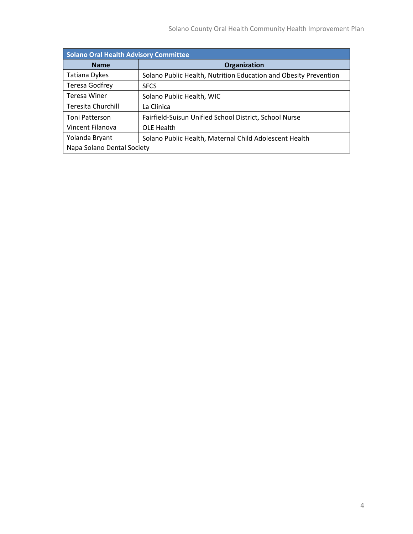| Solano Oral Health Advisory Committee |                                                                  |  |  |  |  |  |  |
|---------------------------------------|------------------------------------------------------------------|--|--|--|--|--|--|
| <b>Name</b>                           | Organization                                                     |  |  |  |  |  |  |
| <b>Tatiana Dykes</b>                  | Solano Public Health, Nutrition Education and Obesity Prevention |  |  |  |  |  |  |
| <b>Teresa Godfrey</b>                 | <b>SFCS</b>                                                      |  |  |  |  |  |  |
| Teresa Winer                          | Solano Public Health, WIC                                        |  |  |  |  |  |  |
| Teresita Churchill                    | La Clinica                                                       |  |  |  |  |  |  |
| <b>Toni Patterson</b>                 | Fairfield-Suisun Unified School District, School Nurse           |  |  |  |  |  |  |
| Vincent Filanova                      | OLE Health                                                       |  |  |  |  |  |  |
| Yolanda Bryant                        | Solano Public Health, Maternal Child Adolescent Health           |  |  |  |  |  |  |
| Napa Solano Dental Society            |                                                                  |  |  |  |  |  |  |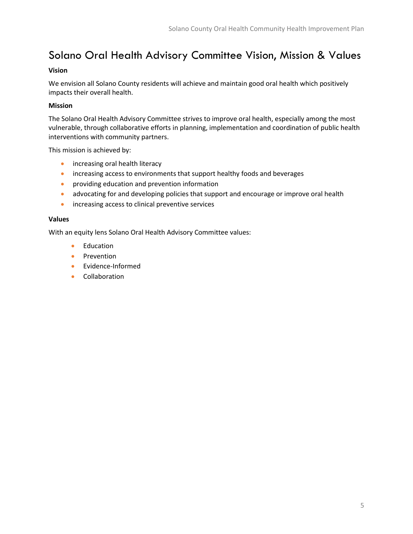# <span id="page-4-0"></span>Solano Oral Health Advisory Committee Vision, Mission & Values

#### **Vision**

We envision all Solano County residents will achieve and maintain good oral health which positively impacts their overall health.

#### **Mission**

The Solano Oral Health Advisory Committee strives to improve oral health, especially among the most vulnerable, through collaborative efforts in planning, implementation and coordination of public health interventions with community partners.

This mission is achieved by:

- increasing oral health literacy
- increasing access to environments that support healthy foods and beverages
- providing education and prevention information
- advocating for and developing policies that support and encourage or improve oral health
- increasing access to clinical preventive services

#### **Values**

With an equity lens Solano Oral Health Advisory Committee values:

- Education
- Prevention
- Evidence-Informed
- Collaboration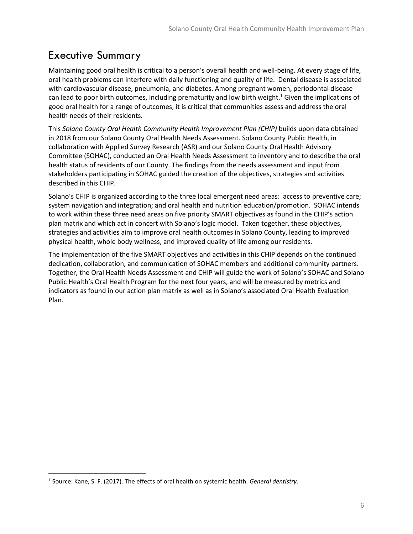# <span id="page-5-0"></span>Executive Summary

Maintaining good oral health is critical to a person's overall health and well-being. At every stage of life, oral health problems can interfere with daily functioning and quality of life. Dental disease is associated with cardiovascular disease, pneumonia, and diabetes. Among pregnant women, periodontal disease can lead to poor birth outcomes, including prematurity and low birth weight.<sup>1</sup> Given the implications of good oral health for a range of outcomes, it is critical that communities assess and address the oral health needs of their residents.

This *Solano County Oral Health Community Health Improvement Plan (CHIP)* builds upon data obtained in 2018 from our Solano County Oral Health Needs Assessment. Solano County Public Health, in collaboration with Applied Survey Research (ASR) and our Solano County Oral Health Advisory Committee (SOHAC), conducted an Oral Health Needs Assessment to inventory and to describe the oral health status of residents of our County. The findings from the needs assessment and input from stakeholders participating in SOHAC guided the creation of the objectives, strategies and activities described in this CHIP.

Solano's CHIP is organized according to the three local emergent need areas: access to preventive care; system navigation and integration; and oral health and nutrition education/promotion. SOHAC intends to work within these three need areas on five priority SMART objectives as found in the CHIP's action plan matrix and which act in concert with Solano's logic model. Taken together, these objectives, strategies and activities aim to improve oral health outcomes in Solano County, leading to improved physical health, whole body wellness, and improved quality of life among our residents.

The implementation of the five SMART objectives and activities in this CHIP depends on the continued dedication, collaboration, and communication of SOHAC members and additional community partners. Together, the Oral Health Needs Assessment and CHIP will guide the work of Solano's SOHAC and Solano Public Health's Oral Health Program for the next four years, and will be measured by metrics and indicators as found in our action plan matrix as well as in Solano's associated Oral Health Evaluation Plan.

 $\overline{\phantom{a}}$ 

<sup>1</sup> Source: Kane, S. F. (2017). The effects of oral health on systemic health. *General dentistry*.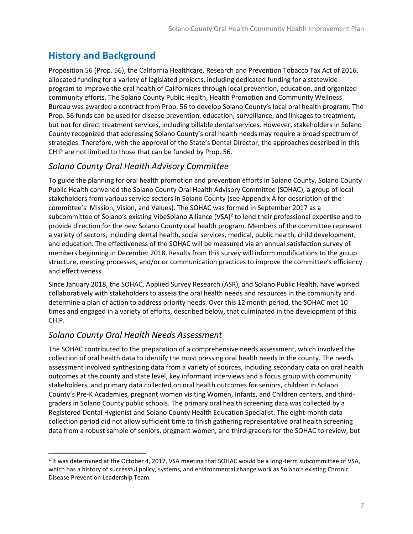### <span id="page-6-0"></span>**History and Background**

Proposition 56 (Prop. 56), the California Healthcare, Research and Prevention Tobacco Tax Act of 2016, allocated funding for a variety of legislated projects, including dedicated funding for a statewide program to improve the oral health of Californians through local prevention, education, and organized community efforts. The Solano County Public Health, Health Promotion and Community Wellness Bureau was awarded a contract from Prop. 56 to develop Solano County's local oral health program. The Prop. 56 funds can be used for disease prevention, education, surveillance, and linkages to treatment, but not for direct treatment services, including billable dental services. However, stakeholders in Solano County recognized that addressing Solano County's oral health needs may require a broad spectrum of strategies. Therefore, with the approval of the State's Dental Director, the approaches described in this CHIP are not limited to those that can be funded by Prop. 56.

### *Solano County Oral Health Advisory Committee*

To guide the planning for oral health promotion and prevention efforts in Solano County, Solano County Public Health convened the Solano County Oral Health Advisory Committee (SOHAC), a group of local stakeholders from various service sectors in Solano County (see Appendix A for description of the committee's Mission, Vision, and Values). The SOHAC was formed in September 2017 as a subcommittee of Solano's existing VibeSolano Alliance (VSA)<sup>2</sup> to lend their professional expertise and to provide direction for the new Solano County oral health program. Members of the committee represent a variety of sectors, including dental health, social services, medical, public health, child development, and education. The effectiveness of the SOHAC will be measured via an annual satisfaction survey of members beginning in December 2018. Results from this survey will inform modifications to the group structure, meeting processes, and/or or communication practices to improve the committee's efficiency and effectiveness.

Since January 2018, the SOHAC, Applied Survey Research (ASR), and Solano Public Health, have worked collaboratively with stakeholders to assess the oral health needs and resources in the community and determine a plan of action to address priority needs. Over this 12 month period, the SOHAC met 10 times and engaged in a variety of efforts, described below, that culminated in the development of this CHIP.

### *Solano County Oral Health Needs Assessment*

 $\overline{a}$ 

The SOHAC contributed to the preparation of a comprehensive needs assessment, which involved the collection of oral health data to identify the most pressing oral health needs in the county. The needs assessment involved synthesizing data from a variety of sources, including secondary data on oral health outcomes at the county and state level, key informant interviews and a focus group with community stakeholders, and primary data collected on oral health outcomes for seniors, children in Solano County's Pre-K Academies, pregnant women visiting Women, Infants, and Children centers, and thirdgraders in Solano County public schools. The primary oral health screening data was collected by a Registered Dental Hygienist and Solano County Health Education Specialist. The eight-month data collection period did not allow sufficient time to finish gathering representative oral health screening data from a robust sample of seniors, pregnant women, and third-graders for the SOHAC to review, but

<sup>&</sup>lt;sup>2</sup> It was determined at the October 4, 2017, VSA meeting that SOHAC would be a long-term subcommittee of VSA, which has a history of successful policy, systems, and environmental change work as Solano's existing Chronic Disease Prevention Leadership Team.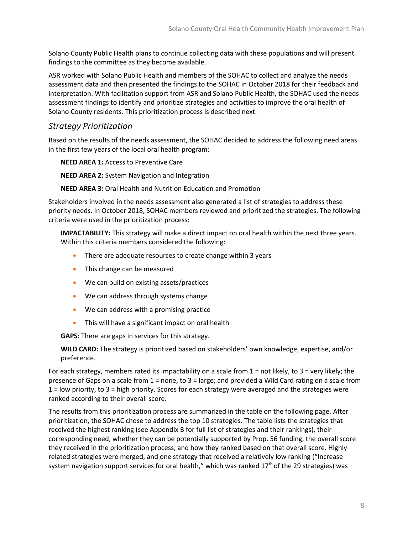Solano County Public Health plans to continue collecting data with these populations and will present findings to the committee as they become available.

ASR worked with Solano Public Health and members of the SOHAC to collect and analyze the needs assessment data and then presented the findings to the SOHAC in October 2018 for their feedback and interpretation. With facilitation support from ASR and Solano Public Health, the SOHAC used the needs assessment findings to identify and prioritize strategies and activities to improve the oral health of Solano County residents. This prioritization process is described next.

### *Strategy Prioritization*

Based on the results of the needs assessment, the SOHAC decided to address the following need areas in the first few years of the local oral health program:

**NEED AREA 1:** Access to Preventive Care

**NEED AREA 2:** System Navigation and Integration

**NEED AREA 3:** Oral Health and Nutrition Education and Promotion

Stakeholders involved in the needs assessment also generated a list of strategies to address these priority needs. In October 2018, SOHAC members reviewed and prioritized the strategies. The following criteria were used in the prioritization process:

**IMPACTABILITY:** This strategy will make a direct impact on oral health within the next three years. Within this criteria members considered the following:

- There are adequate resources to create change within 3 years
- This change can be measured
- We can build on existing assets/practices
- We can address through systems change
- We can address with a promising practice
- This will have a significant impact on oral health

**GAPS:** There are gaps in services for this strategy.

**WILD CARD:** The strategy is prioritized based on stakeholders' own knowledge, expertise, and/or preference.

For each strategy, members rated its impactability on a scale from  $1 =$  not likely, to  $3 =$  very likely; the presence of Gaps on a scale from 1 = none, to 3 = large; and provided a Wild Card rating on a scale from 1 = low priority, to 3 = high priority. Scores for each strategy were averaged and the strategies were ranked according to their overall score.

The results from this prioritization process are summarized in the table on the following page. After prioritization, the SOHAC chose to address the top 10 strategies. The table lists the strategies that received the highest ranking (see Appendix B for full list of strategies and their rankings), their corresponding need, whether they can be potentially supported by Prop. 56 funding, the overall score they received in the prioritization process, and how they ranked based on that overall score. Highly related strategies were merged, and one strategy that received a relatively low ranking ("Increase system navigation support services for oral health," which was ranked  $17<sup>th</sup>$  of the 29 strategies) was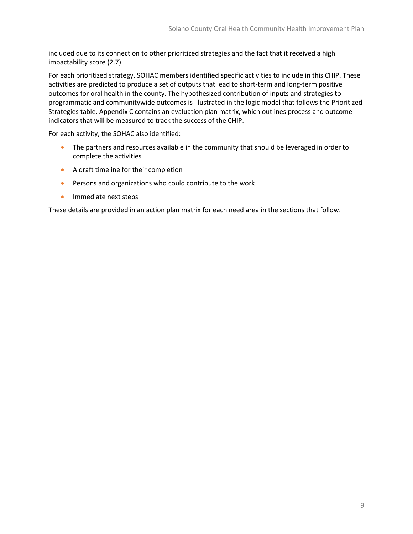included due to its connection to other prioritized strategies and the fact that it received a high impactability score (2.7).

For each prioritized strategy, SOHAC members identified specific activities to include in this CHIP. These activities are predicted to produce a set of outputs that lead to short-term and long-term positive outcomes for oral health in the county. The hypothesized contribution of inputs and strategies to programmatic and communitywide outcomes is illustrated in the logic model that follows the Prioritized Strategies table. Appendix C contains an evaluation plan matrix, which outlines process and outcome indicators that will be measured to track the success of the CHIP.

For each activity, the SOHAC also identified:

- The partners and resources available in the community that should be leveraged in order to complete the activities
- A draft timeline for their completion
- Persons and organizations who could contribute to the work
- Immediate next steps

These details are provided in an action plan matrix for each need area in the sections that follow.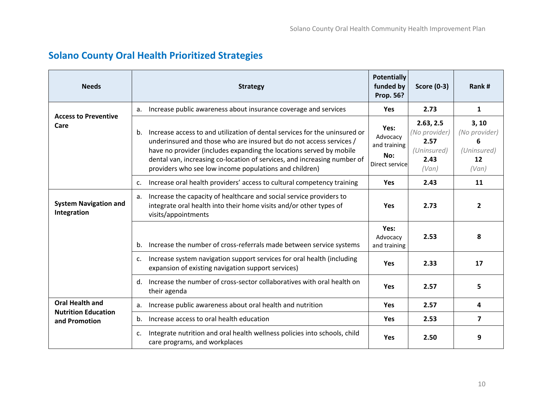<span id="page-9-0"></span>

| <b>Needs</b>                                         | <b>Strategy</b>                                                                                                                                                                                                                                                                                                                                                      | <b>Potentially</b><br>funded by<br><b>Prop. 56?</b>       | <b>Score (0-3)</b>                                                 | Rank#                                                                    |
|------------------------------------------------------|----------------------------------------------------------------------------------------------------------------------------------------------------------------------------------------------------------------------------------------------------------------------------------------------------------------------------------------------------------------------|-----------------------------------------------------------|--------------------------------------------------------------------|--------------------------------------------------------------------------|
| <b>Access to Preventive</b>                          | Increase public awareness about insurance coverage and services<br>a.                                                                                                                                                                                                                                                                                                | <b>Yes</b>                                                | 2.73                                                               | 1                                                                        |
| Care                                                 | Increase access to and utilization of dental services for the uninsured or<br>b.<br>underinsured and those who are insured but do not access services /<br>have no provider (includes expanding the locations served by mobile<br>dental van, increasing co-location of services, and increasing number of<br>providers who see low income populations and children) | Yes:<br>Advocacy<br>and training<br>No:<br>Direct service | 2.63, 2.5<br>(No provider)<br>2.57<br>(Uninsured)<br>2.43<br>(Van) | 3, 10<br>(No provider)<br>6<br>(Uninsured)<br>$12 \overline{ }$<br>(Van) |
|                                                      | Increase oral health providers' access to cultural competency training<br>c.                                                                                                                                                                                                                                                                                         | Yes                                                       | 2.43                                                               | 11                                                                       |
| <b>System Navigation and</b><br>Integration          | Increase the capacity of healthcare and social service providers to<br>a.<br>integrate oral health into their home visits and/or other types of<br>visits/appointments                                                                                                                                                                                               | <b>Yes</b>                                                | 2.73                                                               | $\overline{2}$                                                           |
|                                                      | Increase the number of cross-referrals made between service systems<br>b.                                                                                                                                                                                                                                                                                            | Yes:<br>Advocacy<br>and training                          | 2.53                                                               | 8                                                                        |
|                                                      | Increase system navigation support services for oral health (including<br>$\mathsf{C}$ .<br>expansion of existing navigation support services)                                                                                                                                                                                                                       | <b>Yes</b>                                                | 2.33                                                               | 17                                                                       |
|                                                      | Increase the number of cross-sector collaboratives with oral health on<br>$d_{\cdot}$<br>their agenda                                                                                                                                                                                                                                                                | Yes                                                       | 2.57                                                               | 5                                                                        |
| <b>Oral Health and</b><br><b>Nutrition Education</b> | Increase public awareness about oral health and nutrition<br>a.                                                                                                                                                                                                                                                                                                      | <b>Yes</b>                                                | 2.57                                                               | 4                                                                        |
| and Promotion                                        | Increase access to oral health education<br>b.                                                                                                                                                                                                                                                                                                                       | <b>Yes</b>                                                | 2.53                                                               | $\overline{7}$                                                           |
|                                                      | Integrate nutrition and oral health wellness policies into schools, child<br>c.<br>care programs, and workplaces                                                                                                                                                                                                                                                     | <b>Yes</b>                                                | 2.50                                                               | 9                                                                        |

### **Solano County Oral Health Prioritized Strategies**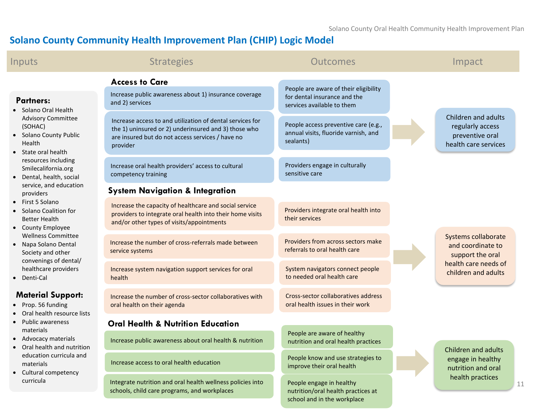Solano County Oral Health Community Health Improvement Plan

# **Solano County Community Health Improvement Plan (CHIP) Logic Model**

<span id="page-10-0"></span>

| Inputs                                                                                                             | <b>Strategies</b>                                                                                                                                                                 | Outcomes                                                                                      | Impact                                                                             |
|--------------------------------------------------------------------------------------------------------------------|-----------------------------------------------------------------------------------------------------------------------------------------------------------------------------------|-----------------------------------------------------------------------------------------------|------------------------------------------------------------------------------------|
|                                                                                                                    | <b>Access to Care</b>                                                                                                                                                             | People are aware of their eligibility                                                         |                                                                                    |
| <b>Partners:</b><br>Solano Oral Health                                                                             | Increase public awareness about 1) insurance coverage<br>and 2) services                                                                                                          | for dental insurance and the<br>services available to them                                    |                                                                                    |
| <b>Advisory Committee</b><br>(SOHAC)<br><b>Solano County Public</b><br>Health<br>State oral health                 | Increase access to and utilization of dental services for<br>the 1) uninsured or 2) underinsured and 3) those who<br>are insured but do not access services / have no<br>provider | People access preventive care (e.g.,<br>annual visits, fluoride varnish, and<br>sealants)     | Children and adults<br>regularly access<br>preventive oral<br>health care services |
| resources including<br>Smilecalifornia.org<br>Dental, health, social                                               | Increase oral health providers' access to cultural<br>competency training                                                                                                         | Providers engage in culturally<br>sensitive care                                              |                                                                                    |
| service, and education<br>providers                                                                                | <b>System Navigation &amp; Integration</b>                                                                                                                                        |                                                                                               |                                                                                    |
| First 5 Solano<br>Solano Coalition for<br>$\bullet$<br><b>Better Health</b><br><b>County Employee</b><br>$\bullet$ | Increase the capacity of healthcare and social service<br>providers to integrate oral health into their home visits<br>and/or other types of visits/appointments                  | Providers integrate oral health into<br>their services                                        |                                                                                    |
| <b>Wellness Committee</b><br>Napa Solano Dental<br>$\bullet$<br>Society and other                                  | Increase the number of cross-referrals made between<br>service systems                                                                                                            | Providers from across sectors make<br>referrals to oral health care                           | Systems collaborate<br>and coordinate to<br>support the oral                       |
| convenings of dental/<br>healthcare providers<br>Denti-Cal                                                         | Increase system navigation support services for oral<br>health                                                                                                                    | System navigators connect people<br>to needed oral health care                                | health care needs of<br>children and adults                                        |
| <b>Material Support:</b><br>Prop. 56 funding<br>Oral health resource lists                                         | Increase the number of cross-sector collaboratives with<br>oral health on their agenda                                                                                            | Cross-sector collaboratives address<br>oral health issues in their work                       |                                                                                    |
| Public awareness                                                                                                   | <b>Oral Health &amp; Nutrition Education</b>                                                                                                                                      |                                                                                               |                                                                                    |
| materials<br>Advocacy materials<br>Oral health and nutrition                                                       | Increase public awareness about oral health & nutrition                                                                                                                           | People are aware of healthy<br>nutrition and oral health practices                            | Children and adults                                                                |
| education curricula and<br>materials<br>Cultural competency<br>$\bullet$<br>curricula                              | Increase access to oral health education                                                                                                                                          | People know and use strategies to<br>improve their oral health                                | engage in healthy<br>nutrition and oral                                            |
|                                                                                                                    | Integrate nutrition and oral health wellness policies into<br>schools, child care programs, and workplaces                                                                        | People engage in healthy<br>nutrition/oral health practices at<br>school and in the workplace | health practices<br>11                                                             |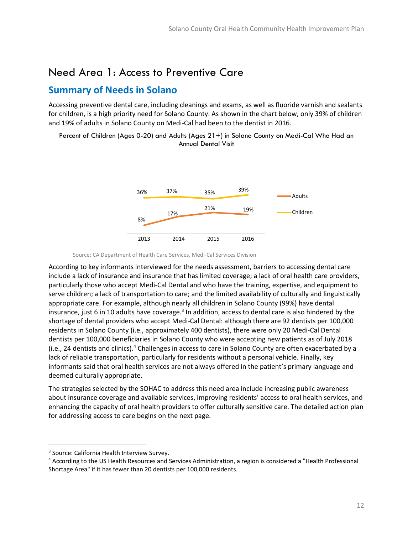### <span id="page-11-0"></span>Need Area 1: Access to Preventive Care

### <span id="page-11-1"></span>**Summary of Needs in Solano**

Accessing preventive dental care, including cleanings and exams, as well as fluoride varnish and sealants for children, is a high priority need for Solano County. As shown in the chart below, only 39% of children and 19% of adults in Solano County on Medi-Cal had been to the dentist in 2016.

Percent of Children (Ages 0-20) and Adults (Ages 21+) in Solano County on Medi-Cal Who Had an Annual Dental Visit



Source: CA Department of Health Care Services, Medi-Cal Services Division

According to key informants interviewed for the needs assessment, barriers to accessing dental care include a lack of insurance and insurance that has limited coverage; a lack of oral health care providers, particularly those who accept Medi-Cal Dental and who have the training, expertise, and equipment to serve children; a lack of transportation to care; and the limited availability of culturally and linguistically appropriate care. For example, although nearly all children in Solano County (99%) have dental insurance, just 6 in 10 adults have coverage.<sup>3</sup> In addition, access to dental care is also hindered by the shortage of dental providers who accept Medi-Cal Dental: although there are 92 dentists per 100,000 residents in Solano County (i.e., approximately 400 dentists), there were only 20 Medi-Cal Dental dentists per 100,000 beneficiaries in Solano County who were accepting new patients as of July 2018 (i.e., 24 dentists and clinics).<sup>4</sup> Challenges in access to care in Solano County are often exacerbated by a lack of reliable transportation, particularly for residents without a personal vehicle. Finally, key informants said that oral health services are not always offered in the patient's primary language and deemed culturally appropriate.

The strategies selected by the SOHAC to address this need area include increasing public awareness about insurance coverage and available services, improving residents' access to oral health services, and enhancing the capacity of oral health providers to offer culturally sensitive care. The detailed action plan for addressing access to care begins on the next page.

l

<sup>&</sup>lt;sup>3</sup> Source: California Health Interview Survey.

<sup>4</sup> According to the US Health Resources and Services Administration, a region is considered a "Health Professional Shortage Area" if it has fewer than 20 dentists per 100,000 residents.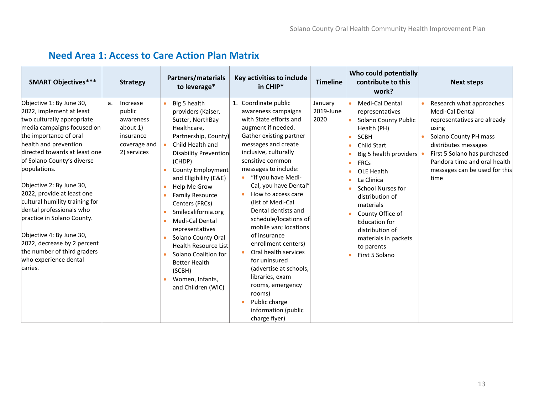<span id="page-12-0"></span>

| <b>SMART Objectives***</b>                                                                                                                                                                                                                                                                                                                                                                                                                                                                                                             | <b>Strategy</b>                                                                               | Partners/materials<br>to leverage*                                                                                                                                                                                                                                                                                                                                                                                                                                                  | Key activities to include<br>in CHIP*                                                                                                                                                                                                                                                                                                                                                                                                                                                                                                                                                                        | <b>Timeline</b>              | Who could potentially<br>contribute to this<br>work?                                                                                                                                                                                                                                                                                                     | <b>Next steps</b>                                                                                                                                                                                                                             |
|----------------------------------------------------------------------------------------------------------------------------------------------------------------------------------------------------------------------------------------------------------------------------------------------------------------------------------------------------------------------------------------------------------------------------------------------------------------------------------------------------------------------------------------|-----------------------------------------------------------------------------------------------|-------------------------------------------------------------------------------------------------------------------------------------------------------------------------------------------------------------------------------------------------------------------------------------------------------------------------------------------------------------------------------------------------------------------------------------------------------------------------------------|--------------------------------------------------------------------------------------------------------------------------------------------------------------------------------------------------------------------------------------------------------------------------------------------------------------------------------------------------------------------------------------------------------------------------------------------------------------------------------------------------------------------------------------------------------------------------------------------------------------|------------------------------|----------------------------------------------------------------------------------------------------------------------------------------------------------------------------------------------------------------------------------------------------------------------------------------------------------------------------------------------------------|-----------------------------------------------------------------------------------------------------------------------------------------------------------------------------------------------------------------------------------------------|
| Objective 1: By June 30,<br>2022, implement at least<br>two culturally appropriate<br>media campaigns focused on<br>the importance of oral<br>health and prevention<br>directed towards at least one<br>of Solano County's diverse<br>populations.<br>Objective 2: By June 30,<br>2022, provide at least one<br>cultural humility training for<br>dental professionals who<br>practice in Solano County.<br>Objective 4: By June 30,<br>2022, decrease by 2 percent<br>the number of third graders<br>who experience dental<br>caries. | Increase<br>a.<br>public<br>awareness<br>about 1)<br>insurance<br>coverage and<br>2) services | Big 5 health<br>providers (Kaiser,<br>Sutter, NorthBay<br>Healthcare,<br>Partnership, County)<br>Child Health and<br>Disability Prevention<br>(CHDP)<br>County Employment<br>and Eligibility (E&E)<br>Help Me Grow<br><b>Family Resource</b><br>Centers (FRCs)<br>Smilecalifornia.org<br>Medi-Cal Dental<br>representatives<br>Solano County Oral<br><b>Health Resource List</b><br>Solano Coalition for<br><b>Better Health</b><br>(SCBH)<br>Women, Infants,<br>and Children (WIC) | Coordinate public<br>1.<br>awareness campaigns<br>with State efforts and<br>augment if needed.<br>Gather existing partner<br>messages and create<br>inclusive, culturally<br>sensitive common<br>messages to include:<br>"If you have Medi-<br>Cal, you have Dental"<br>How to access care<br>(list of Medi-Cal<br>Dental dentists and<br>schedule/locations of<br>mobile van; locations<br>of insurance<br>enrollment centers)<br>Oral health services<br>for uninsured<br>(advertise at schools,<br>libraries, exam<br>rooms, emergency<br>rooms)<br>Public charge<br>information (public<br>charge flyer) | January<br>2019-June<br>2020 | Medi-Cal Dental<br>representatives<br>Solano County Public<br>Health (PH)<br><b>SCBH</b><br>Child Start<br>Big 5 health providers<br><b>FRCs</b><br>OLE Health<br>La Clinica<br>School Nurses for<br>distribution of<br>materials<br>County Office of<br><b>Education for</b><br>distribution of<br>materials in packets<br>to parents<br>First 5 Solano | Research what approaches<br>Medi-Cal Dental<br>representatives are already<br>using<br>Solano County PH mass<br>distributes messages<br>First 5 Solano has purchased<br>Pandora time and oral health<br>messages can be used for this<br>time |

### **Need Area 1: Access to Care Action Plan Matrix**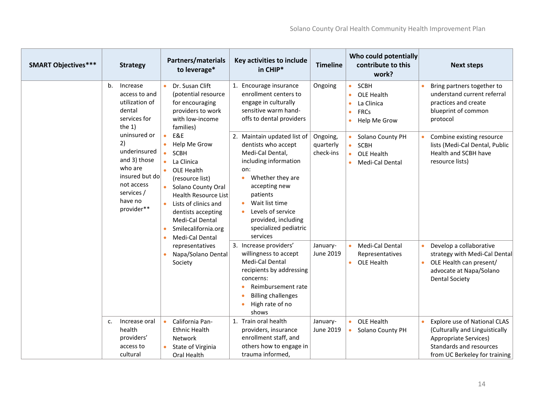| <b>SMART Objectives***</b> |                                                                                                                                                                                                                                 | <b>Strategy</b>                                                                                                                                                                                                                                          | <b>Partners/materials</b><br>to leverage*                                                                                                                                                                                                                                            | Key activities to include<br>in CHIP*                                                                                                                                                                          | <b>Timeline</b>        |                                                                 | Who could potentially<br>contribute to this<br>work? |                                                                                                                      | <b>Next steps</b>                                                                                                                                          |
|----------------------------|---------------------------------------------------------------------------------------------------------------------------------------------------------------------------------------------------------------------------------|----------------------------------------------------------------------------------------------------------------------------------------------------------------------------------------------------------------------------------------------------------|--------------------------------------------------------------------------------------------------------------------------------------------------------------------------------------------------------------------------------------------------------------------------------------|----------------------------------------------------------------------------------------------------------------------------------------------------------------------------------------------------------------|------------------------|-----------------------------------------------------------------|------------------------------------------------------|----------------------------------------------------------------------------------------------------------------------|------------------------------------------------------------------------------------------------------------------------------------------------------------|
|                            | b.<br>Increase<br>access to and<br>utilization of<br>dental<br>services for<br>the $1)$<br>uninsured or<br>2)<br>underinsured<br>and 3) those<br>who are<br>insured but do<br>not access<br>services /<br>have no<br>provider** | Dr. Susan Clift<br>(potential resource<br>for encouraging<br>providers to work<br>with low-income<br>families)                                                                                                                                           | 1. Encourage insurance<br>enrollment centers to<br>engage in culturally<br>sensitive warm hand-<br>offs to dental providers                                                                                                                                                          | Ongoing                                                                                                                                                                                                        | $\bullet$              | SCBH<br>OLE Health<br>La Clinica<br><b>FRCs</b><br>Help Me Grow |                                                      | Bring partners together to<br>understand current referral<br>practices and create<br>blueprint of common<br>protocol |                                                                                                                                                            |
|                            |                                                                                                                                                                                                                                 | E&E<br>Help Me Grow<br><b>SCBH</b><br>La Clinica<br>OLE Health<br>(resource list)<br>Solano County Oral<br><b>Health Resource List</b><br>Lists of clinics and<br>dentists accepting<br><b>Medi-Cal Dental</b><br>Smilecalifornia.org<br>Medi-Cal Dental | 2. Maintain updated list of<br>dentists who accept<br>Medi-Cal Dental,<br>including information<br>on:<br>Whether they are<br>$\bullet$<br>accepting new<br>patients<br>Wait list time<br>$\bullet$<br>Levels of service<br>provided, including<br>specialized pediatric<br>services | Ongoing,<br>quarterly<br>check-ins                                                                                                                                                                             | $\bullet$<br>$\bullet$ | Solano County PH<br>SCBH<br>OLE Health<br>Medi-Cal Dental       |                                                      | Combine existing resource<br>lists (Medi-Cal Dental, Public<br>Health and SCBH have<br>resource lists)               |                                                                                                                                                            |
|                            |                                                                                                                                                                                                                                 |                                                                                                                                                                                                                                                          | representatives<br>Napa/Solano Dental<br>Society                                                                                                                                                                                                                                     | 3. Increase providers'<br>willingness to accept<br><b>Medi-Cal Dental</b><br>recipients by addressing<br>concerns:<br>Reimbursement rate<br>$\bullet$<br><b>Billing challenges</b><br>High rate of no<br>shows | January-<br>June 2019  |                                                                 | Medi-Cal Dental<br>Representatives<br>• OLE Health   | $\bullet$                                                                                                            | Develop a collaborative<br>strategy with Medi-Cal Dental<br>OLE Health can present/<br>advocate at Napa/Solano<br><b>Dental Society</b>                    |
|                            | $\mathsf{C}$ .                                                                                                                                                                                                                  | Increase oral<br>health<br>providers'<br>access to<br>cultural                                                                                                                                                                                           | California Pan-<br><b>Ethnic Health</b><br>Network<br>State of Virginia<br>Oral Health                                                                                                                                                                                               | 1. Train oral health<br>providers, insurance<br>enrollment staff, and<br>others how to engage in<br>trauma informed,                                                                                           | January-<br>June 2019  | $\bullet$                                                       | OLE Health<br>Solano County PH                       | $\bullet$                                                                                                            | <b>Explore use of National CLAS</b><br>(Culturally and Linguistically<br>Appropriate Services)<br>Standards and resources<br>from UC Berkeley for training |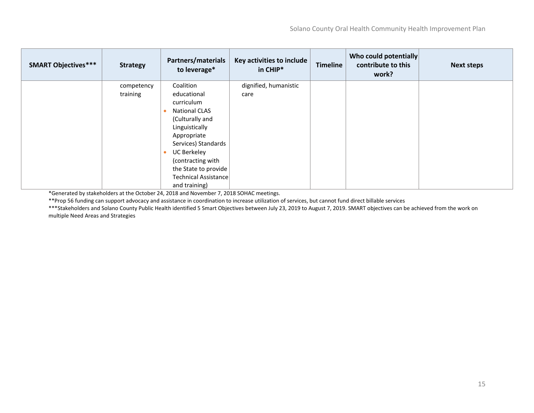| <b>SMART Objectives***</b> | <b>Strategy</b>        | Partners/materials<br>to leverage* | Key activities to include<br>in CHIP* | <b>Timeline</b> | Who could potentially<br>contribute to this<br>work? | <b>Next steps</b> |
|----------------------------|------------------------|------------------------------------|---------------------------------------|-----------------|------------------------------------------------------|-------------------|
|                            | competency<br>training | Coalition<br>educational           | dignified, humanistic<br>care         |                 |                                                      |                   |
|                            |                        | curriculum                         |                                       |                 |                                                      |                   |
|                            |                        | <b>National CLAS</b>               |                                       |                 |                                                      |                   |
|                            |                        | (Culturally and                    |                                       |                 |                                                      |                   |
|                            |                        | Linguistically                     |                                       |                 |                                                      |                   |
|                            |                        | Appropriate                        |                                       |                 |                                                      |                   |
|                            |                        | Services) Standards                |                                       |                 |                                                      |                   |
|                            |                        | <b>UC Berkeley</b>                 |                                       |                 |                                                      |                   |
|                            |                        | (contracting with                  |                                       |                 |                                                      |                   |
|                            |                        | the State to provide               |                                       |                 |                                                      |                   |
|                            |                        | Technical Assistance               |                                       |                 |                                                      |                   |
|                            |                        | and training)                      |                                       |                 |                                                      |                   |

\*Generated by stakeholders at the October 24, 2018 and November 7, 2018 SOHAC meetings.

\*\*Prop 56 funding can support advocacy and assistance in coordination to increase utilization of services, but cannot fund direct billable services

\*\*\*Stakeholders and Solano County Public Health identified 5 Smart Objectives between July 23, 2019 to August 7, 2019. SMART objectives can be achieved from the work on multiple Need Areas and Strategies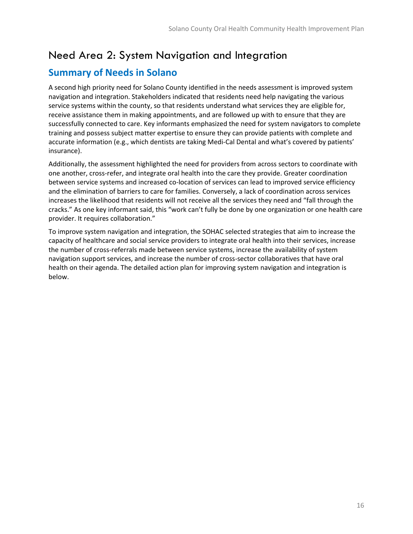### <span id="page-15-0"></span>Need Area 2: System Navigation and Integration

### <span id="page-15-1"></span>**Summary of Needs in Solano**

A second high priority need for Solano County identified in the needs assessment is improved system navigation and integration. Stakeholders indicated that residents need help navigating the various service systems within the county, so that residents understand what services they are eligible for, receive assistance them in making appointments, and are followed up with to ensure that they are successfully connected to care. Key informants emphasized the need for system navigators to complete training and possess subject matter expertise to ensure they can provide patients with complete and accurate information (e.g., which dentists are taking Medi-Cal Dental and what's covered by patients' insurance).

Additionally, the assessment highlighted the need for providers from across sectors to coordinate with one another, cross-refer, and integrate oral health into the care they provide. Greater coordination between service systems and increased co-location of services can lead to improved service efficiency and the elimination of barriers to care for families. Conversely, a lack of coordination across services increases the likelihood that residents will not receive all the services they need and "fall through the cracks." As one key informant said, this "work can't fully be done by one organization or one health care provider. It requires collaboration."

To improve system navigation and integration, the SOHAC selected strategies that aim to increase the capacity of healthcare and social service providers to integrate oral health into their services, increase the number of cross-referrals made between service systems, increase the availability of system navigation support services, and increase the number of cross-sector collaboratives that have oral health on their agenda. The detailed action plan for improving system navigation and integration is below.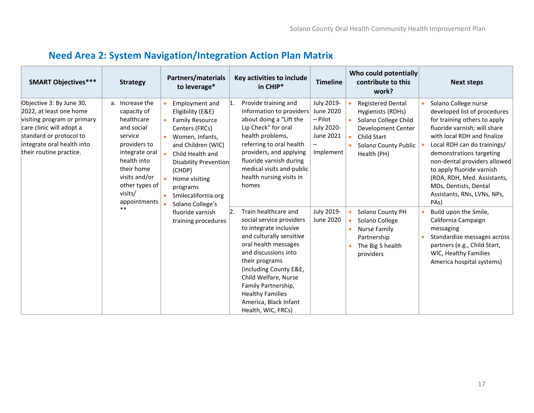<span id="page-16-0"></span>

| <b>SMART Objectives***</b>                                                                                                                                                                         | <b>Strategy</b>                                                                                                                                                                                            | Partners/materials<br>to leverage*                                                                                                                                                                                                                      | Key activities to include<br>in CHIP*                                                                                                                                                                                                                                                                                                         | <b>Timeline</b>                                                            | Who could potentially<br>contribute to this<br>work?                                                                                                     | <b>Next steps</b>                                                                                                                                                                                                                                                                                                                                                                       |
|----------------------------------------------------------------------------------------------------------------------------------------------------------------------------------------------------|------------------------------------------------------------------------------------------------------------------------------------------------------------------------------------------------------------|---------------------------------------------------------------------------------------------------------------------------------------------------------------------------------------------------------------------------------------------------------|-----------------------------------------------------------------------------------------------------------------------------------------------------------------------------------------------------------------------------------------------------------------------------------------------------------------------------------------------|----------------------------------------------------------------------------|----------------------------------------------------------------------------------------------------------------------------------------------------------|-----------------------------------------------------------------------------------------------------------------------------------------------------------------------------------------------------------------------------------------------------------------------------------------------------------------------------------------------------------------------------------------|
| Objective 3: By June 30,<br>2022, at least one home<br>visiting program or primary<br>care clinic will adopt a<br>standard or protocol to<br>integrate oral health into<br>their routine practice. | a. Increase the<br>capacity of<br>healthcare<br>and social<br>service<br>providers to<br>integrate oral<br>health into<br>their home<br>visits and/or<br>other types of<br>visits/<br>appointments<br>$**$ | Employment and<br>Eligibility (E&E)<br><b>Family Resource</b><br>Centers (FRCs)<br>Women, Infants,<br>and Children (WIC)<br>Child Health and<br>Disability Prevention<br>(CHDP)<br>Home visiting<br>programs<br>Smilecalifornia.org<br>Solano College's | Provide training and<br>$\mathbf{1}$ .<br>information to providers<br>about doing a "Lift the<br>Lip Check" for oral<br>health problems,<br>referring to oral health<br>providers, and applying<br>fluoride varnish during<br>medical visits and public<br>health nursing visits in<br>homes                                                  | July 2019-<br>June 2020<br>- Pilot<br>July 2020-<br>June 2021<br>Implement | <b>Registered Dental</b><br>Hygienists (RDHs)<br>Solano College Child<br>Development Center<br><b>Child Start</b><br>Solano County Public<br>Health (PH) | Solano College nurse<br>developed list of procedures<br>for training others to apply<br>fluoride varnish; will share<br>with local RDH and finalize<br>Local RDH can do trainings/<br>demonstrations targeting<br>non-dental providers allowed<br>to apply fluoride varnish<br>(RDA, RDH, Med. Assistants,<br>MDs, Dentists, Dental<br>Assistants, RNs, LVNs, NPs,<br>PA <sub>s</sub> ) |
|                                                                                                                                                                                                    |                                                                                                                                                                                                            | fluoride varnish<br>training procedures                                                                                                                                                                                                                 | Train healthcare and<br>$\mathsf{R}$ .<br>social service providers<br>to integrate inclusive<br>and culturally sensitive<br>oral health messages<br>and discussions into<br>their programs<br>(including County E&E,<br>Child Welfare, Nurse<br>Family Partnership,<br><b>Healthy Families</b><br>America, Black Infant<br>Health, WIC, FRCs) | July 2019-<br>June 2020                                                    | Solano County PH<br>Solano College<br><b>Nurse Family</b><br>Partnership<br>The Big 5 health<br>providers                                                | Build upon the Smile,<br>California Campaign<br>messaging<br>Standardize messages across<br>partners (e.g., Child Start,<br>WIC, Healthy Families<br>America hospital systems)                                                                                                                                                                                                          |

# **Need Area 2: System Navigation/Integration Action Plan Matrix**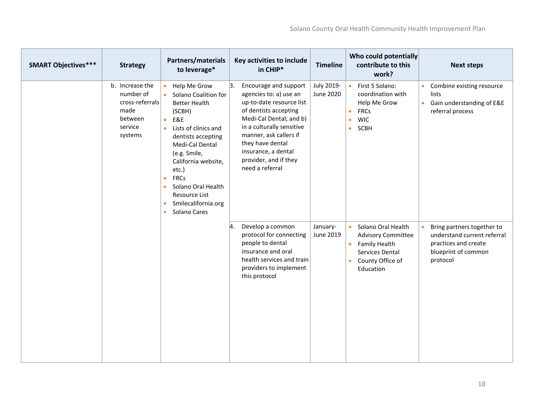| <b>SMART Objectives***</b> | <b>Strategy</b>                                                                          | Partners/materials<br>to leverage*                                                                                                                                                                                                                                                                                                                                                     | Key activities to include<br>in CHIP*                                                                                                                                                                                                                                               | <b>Timeline</b>         | Who could potentially<br>contribute to this<br>work?                                                                             | <b>Next steps</b>                                                                                                    |
|----------------------------|------------------------------------------------------------------------------------------|----------------------------------------------------------------------------------------------------------------------------------------------------------------------------------------------------------------------------------------------------------------------------------------------------------------------------------------------------------------------------------------|-------------------------------------------------------------------------------------------------------------------------------------------------------------------------------------------------------------------------------------------------------------------------------------|-------------------------|----------------------------------------------------------------------------------------------------------------------------------|----------------------------------------------------------------------------------------------------------------------|
|                            | b. Increase the<br>number of<br>cross-referrals<br>made<br>between<br>service<br>systems | Help Me Grow<br>$\bullet$<br>Solano Coalition for<br><b>Better Health</b><br>(SCBH)<br>E&E<br>$\bullet$<br>Lists of clinics and<br>$\bullet$<br>dentists accepting<br>Medi-Cal Dental<br>(e.g. Smile,<br>California website,<br>etc.)<br><b>FRCs</b><br>$\bullet$<br>Solano Oral Health<br>$\bullet$<br>Resource List<br>Smilecalifornia.org<br>$\bullet$<br>Solano Cares<br>$\bullet$ | 3.<br>Encourage and support<br>agencies to: a) use an<br>up-to-date resource list<br>of dentists accepting<br>Medi-Cal Dental; and b)<br>in a culturally sensitive<br>manner, ask callers if<br>they have dental<br>insurance, a dental<br>provider, and if they<br>need a referral | July 2019-<br>June 2020 | First 5 Solano:<br>coordination with<br>Help Me Grow<br><b>FRCs</b><br><b>WIC</b><br>SCBH<br>$\bullet$                           | Combine existing resource<br>$\bullet$<br>lists<br>• Gain understanding of E&E<br>referral process                   |
|                            |                                                                                          |                                                                                                                                                                                                                                                                                                                                                                                        | Develop a common<br>4.<br>protocol for connecting<br>people to dental<br>insurance and oral<br>health services and train<br>providers to implement<br>this protocol                                                                                                                 | January-<br>June 2019   | Solano Oral Health<br><b>Advisory Committee</b><br><b>Family Health</b><br>٠<br>Services Dental<br>County Office of<br>Education | Bring partners together to<br>understand current referral<br>practices and create<br>blueprint of common<br>protocol |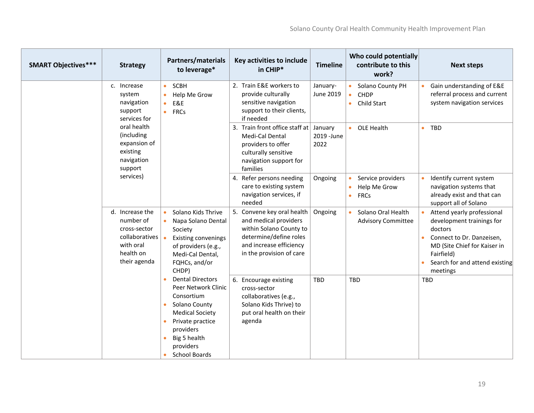| <b>SMART Objectives***</b> | <b>Strategy</b>                                                                                          | <b>Partners/materials</b><br>to leverage*                                                                                                                                                       | Key activities to include<br>in CHIP*                                                                                                                           | <b>Timeline</b>                | Who could potentially<br>contribute to this<br>work? | <b>Next steps</b>                                                                                                                                                                           |
|----------------------------|----------------------------------------------------------------------------------------------------------|-------------------------------------------------------------------------------------------------------------------------------------------------------------------------------------------------|-----------------------------------------------------------------------------------------------------------------------------------------------------------------|--------------------------------|------------------------------------------------------|---------------------------------------------------------------------------------------------------------------------------------------------------------------------------------------------|
|                            | c. Increase<br>system<br>navigation<br>support<br>services for                                           | <b>SCBH</b><br>$\bullet$<br>Help Me Grow<br>$\bullet$<br>E&E<br>$\bullet$<br><b>FRCs</b><br>$\bullet$                                                                                           | 2. Train E&E workers to<br>provide culturally<br>sensitive navigation<br>support to their clients,<br>if needed                                                 | January-<br>June 2019          | Solano County PH<br>CHDP<br>• Child Start            | Gain understanding of E&E<br>referral process and current<br>system navigation services                                                                                                     |
|                            | oral health<br>(including<br>expansion of<br>existing<br>navigation<br>support                           |                                                                                                                                                                                                 | 3. Train front office staff at<br>Medi-Cal Dental<br>providers to offer<br>culturally sensitive<br>navigation support for<br>families                           | January<br>2019 - June<br>2022 | OLE Health                                           | $\bullet$ TBD                                                                                                                                                                               |
|                            | services)                                                                                                |                                                                                                                                                                                                 | 4. Refer persons needing<br>care to existing system<br>navigation services, if<br>needed                                                                        | Ongoing                        | Service providers<br>Help Me Grow<br><b>FRCs</b>     | Identify current system<br>navigation systems that<br>already exist and that can<br>support all of Solano                                                                                   |
|                            | d. Increase the<br>number of<br>cross-sector<br>collaboratives<br>with oral<br>health on<br>their agenda | Solano Kids Thrive<br>Napa Solano Dental<br>Society<br><b>Existing convenings</b><br>of providers (e.g.,<br>Medi-Cal Dental,<br>FQHCs, and/or<br>CHDP)                                          | 5. Convene key oral health<br>and medical providers<br>within Solano County to<br>determine/define roles<br>and increase efficiency<br>in the provision of care | Ongoing                        | Solano Oral Health<br><b>Advisory Committee</b>      | Attend yearly professional<br>development trainings for<br>doctors<br>Connect to Dr. Danzeisen,<br>MD (Site Chief for Kaiser in<br>Fairfield)<br>Search for and attend existing<br>meetings |
|                            |                                                                                                          | <b>Dental Directors</b><br>Peer Network Clinic<br>Consortium<br>Solano County<br>$\bullet$<br><b>Medical Society</b><br>Private practice<br>$\bullet$<br>providers<br>Big 5 health<br>providers | 6. Encourage existing<br>cross-sector<br>collaboratives (e.g.,<br>Solano Kids Thrive) to<br>put oral health on their<br>agenda                                  | <b>TBD</b>                     | <b>TBD</b>                                           | <b>TBD</b>                                                                                                                                                                                  |
|                            |                                                                                                          | <b>School Boards</b>                                                                                                                                                                            |                                                                                                                                                                 |                                |                                                      |                                                                                                                                                                                             |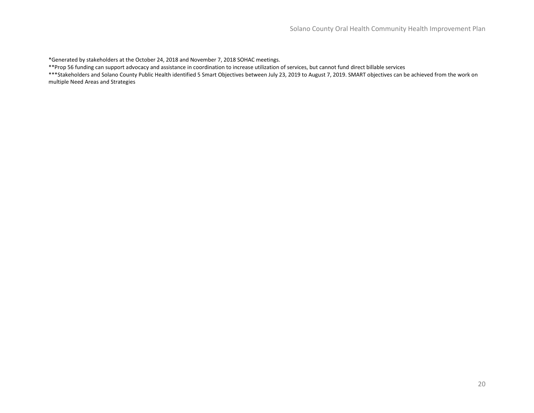\*Generated by stakeholders at the October 24, 2018 and November 7, 2018 SOHAC meetings.

\*\*Prop 56 funding can support advocacy and assistance in coordination to increase utilization of services, but cannot fund direct billable services

\*\*\*Stakeholders and Solano County Public Health identified 5 Smart Objectives between July 23, 2019 to August 7, 2019. SMART objectives can be achieved from the work on multiple Need Areas and Strategies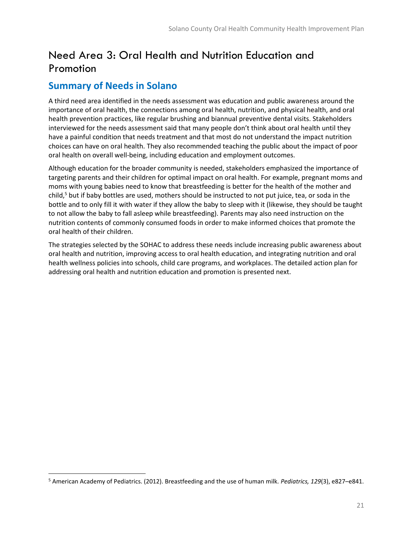# <span id="page-20-0"></span>Need Area 3: Oral Health and Nutrition Education and Promotion

### <span id="page-20-1"></span>**Summary of Needs in Solano**

 $\overline{\phantom{a}}$ 

A third need area identified in the needs assessment was education and public awareness around the importance of oral health, the connections among oral health, nutrition, and physical health, and oral health prevention practices, like regular brushing and biannual preventive dental visits. Stakeholders interviewed for the needs assessment said that many people don't think about oral health until they have a painful condition that needs treatment and that most do not understand the impact nutrition choices can have on oral health. They also recommended teaching the public about the impact of poor oral health on overall well-being, including education and employment outcomes.

Although education for the broader community is needed, stakeholders emphasized the importance of targeting parents and their children for optimal impact on oral health. For example, pregnant moms and moms with young babies need to know that breastfeeding is better for the health of the mother and child, $5$  but if baby bottles are used, mothers should be instructed to not put juice, tea, or soda in the bottle and to only fill it with water if they allow the baby to sleep with it (likewise, they should be taught to not allow the baby to fall asleep while breastfeeding). Parents may also need instruction on the nutrition contents of commonly consumed foods in order to make informed choices that promote the oral health of their children.

The strategies selected by the SOHAC to address these needs include increasing public awareness about oral health and nutrition, improving access to oral health education, and integrating nutrition and oral health wellness policies into schools, child care programs, and workplaces. The detailed action plan for addressing oral health and nutrition education and promotion is presented next.

<sup>5</sup> American Academy of Pediatrics. (2012). Breastfeeding and the use of human milk. *Pediatrics, 129*(3), e827–e841.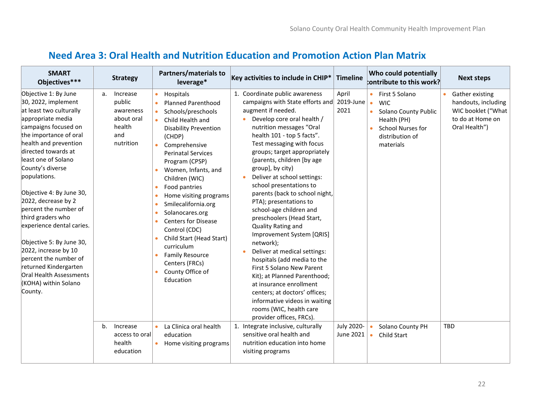### **Need Area 3: Oral Health and Nutrition Education and Promotion Action Plan Matrix**

<span id="page-21-0"></span>

| <b>SMART</b><br>Objectives***                                                                                                                                                                                                                                                                                                                                                                                                                                                                                                                              | <b>Strategy</b>                                                                   | Partners/materials to<br>leverage*                                                                                                                                                                                                                                                                                                                                                                                                                                                                       | Key activities to include in CHIP*                                                                                                                                                                                                                                                                                                                                                                                                                                                                                                                                                                                                                                                                                                                                                                                                           | <b>Timeline</b>            | Who could potentially<br>$b$ ontribute to this work?                                                                                                                  | <b>Next steps</b>                                                                                              |
|------------------------------------------------------------------------------------------------------------------------------------------------------------------------------------------------------------------------------------------------------------------------------------------------------------------------------------------------------------------------------------------------------------------------------------------------------------------------------------------------------------------------------------------------------------|-----------------------------------------------------------------------------------|----------------------------------------------------------------------------------------------------------------------------------------------------------------------------------------------------------------------------------------------------------------------------------------------------------------------------------------------------------------------------------------------------------------------------------------------------------------------------------------------------------|----------------------------------------------------------------------------------------------------------------------------------------------------------------------------------------------------------------------------------------------------------------------------------------------------------------------------------------------------------------------------------------------------------------------------------------------------------------------------------------------------------------------------------------------------------------------------------------------------------------------------------------------------------------------------------------------------------------------------------------------------------------------------------------------------------------------------------------------|----------------------------|-----------------------------------------------------------------------------------------------------------------------------------------------------------------------|----------------------------------------------------------------------------------------------------------------|
| Objective 1: By June<br>30, 2022, implement<br>at least two culturally<br>appropriate media<br>campaigns focused on<br>the importance of oral<br>health and prevention<br>directed towards at<br>least one of Solano<br>County's diverse<br>populations.<br>Objective 4: By June 30,<br>2022, decrease by 2<br>bercent the number of<br>third graders who<br>experience dental caries.<br>Objective 5: By June 30,<br>2022, increase by 10<br>percent the number of<br>returned Kindergarten<br>Oral Health Assessments<br>(KOHA) within Solano<br>County. | Increase<br>a.<br>public<br>awareness<br>about oral<br>health<br>and<br>nutrition | Hospitals<br><b>Planned Parenthood</b><br>Schools/preschools<br>Child Health and<br><b>Disability Prevention</b><br>(CHDP)<br>Comprehensive<br><b>Perinatal Services</b><br>Program (CPSP)<br>Women, Infants, and<br>Children (WIC)<br>Food pantries<br>٠<br>Home visiting programs<br>٠<br>Smilecalifornia.org<br>Solanocares.org<br><b>Centers for Disease</b><br>Control (CDC)<br>Child Start (Head Start)<br>curriculum<br><b>Family Resource</b><br>Centers (FRCs)<br>County Office of<br>Education | 1. Coordinate public awareness<br>campaigns with State efforts and<br>augment if needed.<br>• Develop core oral health /<br>nutrition messages "Oral<br>health 101 - top 5 facts".<br>Test messaging with focus<br>groups; target appropriately<br>(parents, children [by age<br>group], by city)<br>Deliver at school settings:<br>school presentations to<br>parents (back to school night,<br>PTA); presentations to<br>school-age children and<br>preschoolers (Head Start,<br>Quality Rating and<br>Improvement System [QRIS]<br>network);<br>Deliver at medical settings:<br>$\bullet$<br>hospitals (add media to the<br>First 5 Solano New Parent<br>Kit); at Planned Parenthood;<br>at insurance enrollment<br>centers; at doctors' offices;<br>informative videos in waiting<br>rooms (WIC, health care<br>provider offices, FRCs). | April<br>2019-June<br>2021 | First 5 Solano<br>$\bullet$<br><b>WIC</b><br>$\bullet$<br>Solano County Public<br>$\bullet$<br>Health (PH)<br>School Nurses for<br>ò.<br>distribution of<br>materials | Gather existing<br>$\bullet$<br>handouts, including<br>WIC booklet ("What<br>to do at Home on<br>Oral Health") |
|                                                                                                                                                                                                                                                                                                                                                                                                                                                                                                                                                            | $b_{1}$<br>Increase<br>access to oral<br>health<br>education                      | La Clinica oral health<br>education<br>Home visiting programs                                                                                                                                                                                                                                                                                                                                                                                                                                            | 1. Integrate inclusive, culturally<br>sensitive oral health and<br>nutrition education into home<br>visiting programs                                                                                                                                                                                                                                                                                                                                                                                                                                                                                                                                                                                                                                                                                                                        | July 2020-<br>June 2021    | Solano County PH<br>$\bullet$<br><b>Child Start</b><br>٠                                                                                                              | <b>TBD</b>                                                                                                     |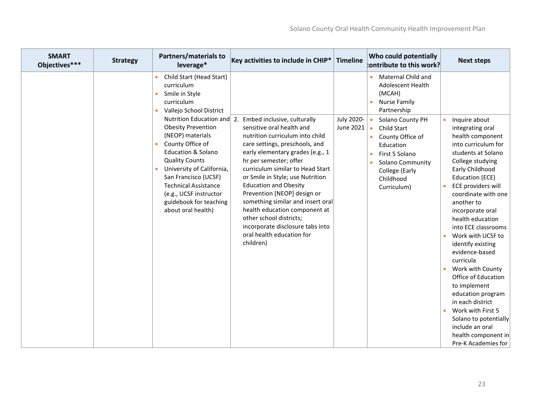| <b>SMART</b><br>Objectives*** | <b>Strategy</b> | <b>Partners/materials to</b><br>leverage*                                                                                                                                                                                                                                                                               | Key activities to include in CHIP*                                                                                                                                                                                                                                                                                                                                                                                                                                                                                | <b>Timeline</b>         | Who could potentially<br>$\sf{b}$ ontribute to this work?                                                                                                                                   | <b>Next steps</b>                                                                                                                                                                                                                                                                                                                                                                                                                                                                                                                    |
|-------------------------------|-----------------|-------------------------------------------------------------------------------------------------------------------------------------------------------------------------------------------------------------------------------------------------------------------------------------------------------------------------|-------------------------------------------------------------------------------------------------------------------------------------------------------------------------------------------------------------------------------------------------------------------------------------------------------------------------------------------------------------------------------------------------------------------------------------------------------------------------------------------------------------------|-------------------------|---------------------------------------------------------------------------------------------------------------------------------------------------------------------------------------------|--------------------------------------------------------------------------------------------------------------------------------------------------------------------------------------------------------------------------------------------------------------------------------------------------------------------------------------------------------------------------------------------------------------------------------------------------------------------------------------------------------------------------------------|
|                               |                 | Child Start (Head Start)<br>curriculum<br>Smile in Style<br>curriculum<br>Vallejo School District<br>$\bullet$                                                                                                                                                                                                          |                                                                                                                                                                                                                                                                                                                                                                                                                                                                                                                   |                         | Maternal Child and<br><b>Adolescent Health</b><br>(MCAH)<br><b>Nurse Family</b><br>Partnership                                                                                              |                                                                                                                                                                                                                                                                                                                                                                                                                                                                                                                                      |
|                               |                 | Nutrition Education and 2.<br><b>Obesity Prevention</b><br>(NEOP) materials<br>County Office of<br><b>Education &amp; Solano</b><br><b>Quality Counts</b><br>University of California,<br>San Francisco (UCSF)<br><b>Technical Assistance</b><br>(e.g., UCSF instructor<br>guidebook for teaching<br>about oral health) | Embed inclusive, culturally<br>sensitive oral health and<br>nutrition curriculum into child<br>care settings, preschools, and<br>early elementary grades (e.g., 1<br>hr per semester; offer<br>curriculum similar to Head Start<br>or Smile in Style; use Nutrition<br><b>Education and Obesity</b><br>Prevention [NEOP] design or<br>something similar and insert oral<br>health education component at<br>other school districts;<br>incorporate disclosure tabs into<br>oral health education for<br>children) | July 2020-<br>June 2021 | Solano County PH<br>Child Start<br>$\bullet$<br>County Office of<br>Education<br>First 5 Solano<br>$\bullet$<br>Solano Community<br>$\bullet$<br>College (Early<br>Childhood<br>Curriculum) | Inquire about<br>integrating oral<br>health component<br>into curriculum for<br>students at Solano<br>College studying<br>Early Childhood<br>Education (ECE)<br>ECE providers will<br>coordinate with one<br>another to<br>incorporate oral<br>health education<br>into ECE classrooms<br>Work with UCSF to<br>identify existing<br>evidence-based<br>curricula<br>Work with County<br>Office of Education<br>to implement<br>education program<br>in each district<br>Work with First 5<br>Solano to potentially<br>include an oral |
|                               |                 |                                                                                                                                                                                                                                                                                                                         |                                                                                                                                                                                                                                                                                                                                                                                                                                                                                                                   |                         |                                                                                                                                                                                             | health component in<br>Pre-K Academies for                                                                                                                                                                                                                                                                                                                                                                                                                                                                                           |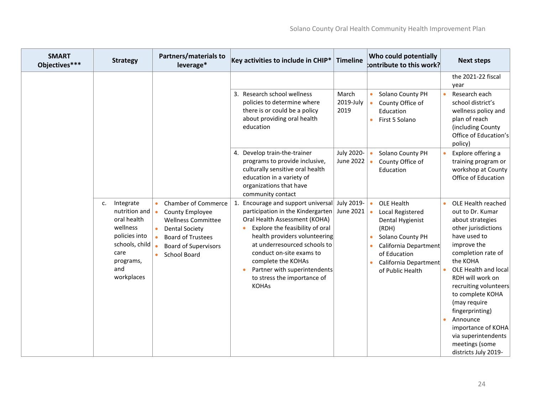| <b>SMART</b><br>Objectives*** | <b>Strategy</b>                                                                                                                          | Partners/materials to<br>leverage*                                                                                                                                                                                           | Key activities to include in CHIP*                                                                                                                                                                                                                                                                                                                            | <b>Timeline</b>            | Who could potentially<br>$b$ ontribute to this work?                                                                                                                               | <b>Next steps</b>                                                                                                                                                                                                                                                                                                                                                                      |
|-------------------------------|------------------------------------------------------------------------------------------------------------------------------------------|------------------------------------------------------------------------------------------------------------------------------------------------------------------------------------------------------------------------------|---------------------------------------------------------------------------------------------------------------------------------------------------------------------------------------------------------------------------------------------------------------------------------------------------------------------------------------------------------------|----------------------------|------------------------------------------------------------------------------------------------------------------------------------------------------------------------------------|----------------------------------------------------------------------------------------------------------------------------------------------------------------------------------------------------------------------------------------------------------------------------------------------------------------------------------------------------------------------------------------|
|                               |                                                                                                                                          |                                                                                                                                                                                                                              | Research school wellness<br>3.<br>policies to determine where<br>there is or could be a policy<br>about providing oral health<br>education                                                                                                                                                                                                                    | March<br>2019-July<br>2019 | Solano County PH<br>County Office of<br>Education<br>First 5 Solano                                                                                                                | the 2021-22 fiscal<br>year<br>Research each<br>school district's<br>wellness policy and<br>plan of reach<br>(including County<br>Office of Education's<br>policy)                                                                                                                                                                                                                      |
|                               |                                                                                                                                          |                                                                                                                                                                                                                              | 4. Develop train-the-trainer<br>programs to provide inclusive,<br>culturally sensitive oral health<br>education in a variety of<br>organizations that have<br>community contact                                                                                                                                                                               | July 2020-<br>June 2022    | Solano County PH<br>County Office of<br>Education                                                                                                                                  | Explore offering a<br>training program or<br>workshop at County<br>Office of Education                                                                                                                                                                                                                                                                                                 |
|                               | Integrate<br>c.<br>nutrition and<br>oral health<br>wellness<br>policies into<br>schools, child<br>care<br>programs,<br>and<br>workplaces | <b>Chamber of Commerce</b><br>$\bullet$<br>County Employee<br>$\bullet$<br><b>Wellness Committee</b><br><b>Dental Society</b><br>$\bullet$<br><b>Board of Trustees</b><br><b>Board of Supervisors</b><br><b>School Board</b> | Encourage and support universal<br>1.<br>participation in the Kindergarten<br>Oral Health Assessment (KOHA)<br>Explore the feasibility of oral<br>$\bullet$<br>health providers volunteering<br>at underresourced schools to<br>conduct on-site exams to<br>complete the KOHAs<br>Partner with superintendents<br>to stress the importance of<br><b>KOHAs</b> | July 2019-<br>June 2021    | OLE Health<br>$\bullet$<br>Local Registered<br>Dental Hygienist<br>(RDH)<br>Solano County PH<br>California Department<br>of Education<br>California Department<br>of Public Health | OLE Health reached<br>out to Dr. Kumar<br>about strategies<br>other jurisdictions<br>have used to<br>improve the<br>completion rate of<br>the KOHA<br>OLE Health and local<br>RDH will work on<br>recruiting volunteers<br>to complete KOHA<br>(may require<br>fingerprinting)<br>Announce<br>٠<br>importance of KOHA<br>via superintendents<br>meetings (some<br>districts July 2019- |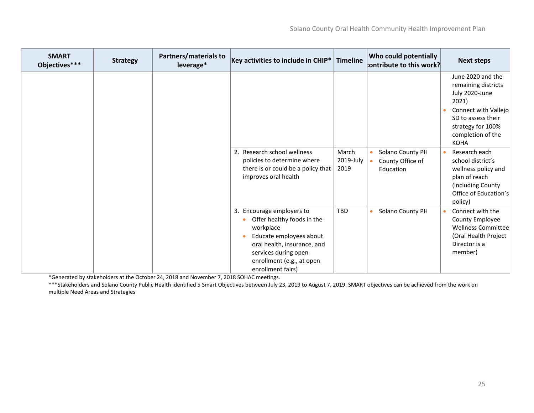| <b>SMART</b><br>Objectives*** | <b>Strategy</b> | Partners/materials to<br>leverage* | Key activities to include in CHIP $*$                                                                                                                                                                    | <b>Timeline</b>            | <b>Who could potentially</b><br>contribute to this work?       | <b>Next steps</b>                                                                                                                                                          |
|-------------------------------|-----------------|------------------------------------|----------------------------------------------------------------------------------------------------------------------------------------------------------------------------------------------------------|----------------------------|----------------------------------------------------------------|----------------------------------------------------------------------------------------------------------------------------------------------------------------------------|
|                               |                 |                                    |                                                                                                                                                                                                          |                            |                                                                | June 2020 and the<br>remaining districts<br>July 2020-June<br>2021)<br>Connect with Vallejo<br>SD to assess their<br>strategy for 100%<br>completion of the<br><b>KOHA</b> |
|                               |                 |                                    | 2. Research school wellness<br>policies to determine where<br>there is or could be a policy that<br>improves oral health                                                                                 | March<br>2019-July<br>2019 | Solano County PH<br>$\bullet$<br>County Office of<br>Education | Research each<br><b>C</b><br>school district's<br>wellness policy and<br>plan of reach<br>(including County<br>Office of Education's<br>policy)                            |
|                               |                 |                                    | 3. Encourage employers to<br>Offer healthy foods in the<br>workplace<br>Educate employees about<br>oral health, insurance, and<br>services during open<br>enrollment (e.g., at open<br>enrollment fairs) | <b>TBD</b>                 | Solano County PH<br>$\bullet$                                  | Connect with the<br>County Employee<br>Wellness Committee<br>(Oral Health Project<br>Director is a<br>member)                                                              |

\*Generated by stakeholders at the October 24, 2018 and November 7, 2018 SOHAC meetings.

\*\*\*Stakeholders and Solano County Public Health identified 5 Smart Objectives between July 23, 2019 to August 7, 2019. SMART objectives can be achieved from the work on multiple Need Areas and Strategies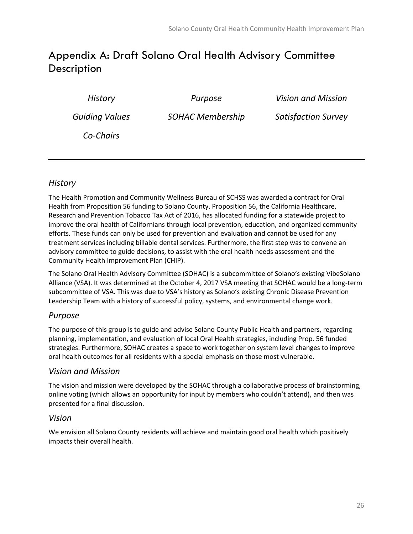### <span id="page-25-0"></span>Appendix A: Draft Solano Oral Health Advisory Committee **Description**

| History               | Purpose                 | <b>Vision and Mission</b>  |
|-----------------------|-------------------------|----------------------------|
| <b>Guiding Values</b> | <b>SOHAC Membership</b> | <b>Satisfaction Survey</b> |
| Co-Chairs             |                         |                            |

### *History*

The Health Promotion and Community Wellness Bureau of SCHSS was awarded a contract for Oral Health from Proposition 56 funding to Solano County. Proposition 56, the California Healthcare, Research and Prevention Tobacco Tax Act of 2016, has allocated funding for a statewide project to improve the oral health of Californians through local prevention, education, and organized community efforts. These funds can only be used for prevention and evaluation and cannot be used for any treatment services including billable dental services. Furthermore, the first step was to convene an advisory committee to guide decisions, to assist with the oral health needs assessment and the Community Health Improvement Plan (CHIP).

The Solano Oral Health Advisory Committee (SOHAC) is a subcommittee of Solano's existing VibeSolano Alliance (VSA). It was determined at the October 4, 2017 VSA meeting that SOHAC would be a long-term subcommittee of VSA. This was due to VSA's history as Solano's existing Chronic Disease Prevention Leadership Team with a history of successful policy, systems, and environmental change work.

### *Purpose*

The purpose of this group is to guide and advise Solano County Public Health and partners, regarding planning, implementation, and evaluation of local Oral Health strategies, including Prop. 56 funded strategies. Furthermore, SOHAC creates a space to work together on system level changes to improve oral health outcomes for all residents with a special emphasis on those most vulnerable.

### *Vision and Mission*

The vision and mission were developed by the SOHAC through a collaborative process of brainstorming, online voting (which allows an opportunity for input by members who couldn't attend), and then was presented for a final discussion.

#### *Vision*

We envision all Solano County residents will achieve and maintain good oral health which positively impacts their overall health.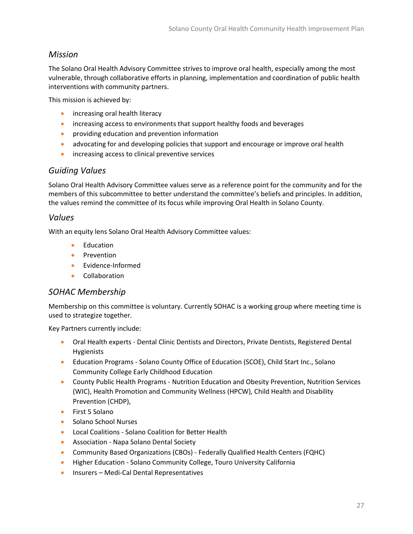### *Mission*

The Solano Oral Health Advisory Committee strives to improve oral health, especially among the most vulnerable, through collaborative efforts in planning, implementation and coordination of public health interventions with community partners.

This mission is achieved by:

- increasing oral health literacy
- increasing access to environments that support healthy foods and beverages
- providing education and prevention information
- advocating for and developing policies that support and encourage or improve oral health
- increasing access to clinical preventive services

### *Guiding Values*

Solano Oral Health Advisory Committee values serve as a reference point for the community and for the members of this subcommittee to better understand the committee's beliefs and principles. In addition, the values remind the committee of its focus while improving Oral Health in Solano County.

#### *Values*

With an equity lens Solano Oral Health Advisory Committee values:

- Education
- Prevention
- Evidence-Informed
- Collaboration

### *SOHAC Membership*

Membership on this committee is voluntary. Currently SOHAC is a working group where meeting time is used to strategize together.

Key Partners currently include:

- Oral Health experts Dental Clinic Dentists and Directors, Private Dentists, Registered Dental Hygienists
- Education Programs Solano County Office of Education (SCOE), Child Start Inc., Solano Community College Early Childhood Education
- County Public Health Programs Nutrition Education and Obesity Prevention, Nutrition Services (WIC), Health Promotion and Community Wellness (HPCW), Child Health and Disability Prevention (CHDP),
- First 5 Solano
- Solano School Nurses
- Local Coalitions Solano Coalition for Better Health
- Association Napa Solano Dental Society
- Community Based Organizations (CBOs) Federally Qualified Health Centers (FQHC)
- Higher Education Solano Community College, Touro University California
- Insurers Medi-Cal Dental Representatives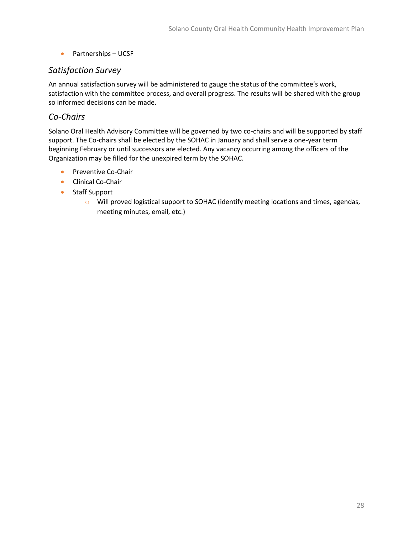• Partnerships – UCSF

### *Satisfaction Survey*

An annual satisfaction survey will be administered to gauge the status of the committee's work, satisfaction with the committee process, and overall progress. The results will be shared with the group so informed decisions can be made.

### *Co-Chairs*

Solano Oral Health Advisory Committee will be governed by two co-chairs and will be supported by staff support. The Co-chairs shall be elected by the SOHAC in January and shall serve a one-year term beginning February or until successors are elected. Any vacancy occurring among the officers of the Organization may be filled for the unexpired term by the SOHAC.

- Preventive Co-Chair
- Clinical Co-Chair
- Staff Support
	- o Will proved logistical support to SOHAC (identify meeting locations and times, agendas, meeting minutes, email, etc.)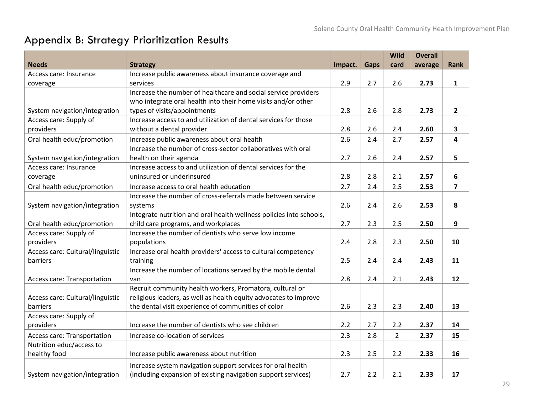# Appendix B: Strategy Prioritization Results

<span id="page-28-0"></span>

|                                  |                                                                     |         |             | Wild           | <b>Overall</b> |                         |
|----------------------------------|---------------------------------------------------------------------|---------|-------------|----------------|----------------|-------------------------|
| <b>Needs</b>                     | <b>Strategy</b>                                                     | Impact. | <b>Gaps</b> | card           | average        | <b>Rank</b>             |
| Access care: Insurance           | Increase public awareness about insurance coverage and              |         |             |                |                |                         |
| coverage                         | services                                                            | 2.9     | 2.7         | 2.6            | 2.73           | $\mathbf{1}$            |
|                                  | Increase the number of healthcare and social service providers      |         |             |                |                |                         |
|                                  | who integrate oral health into their home visits and/or other       |         |             |                |                |                         |
| System navigation/integration    | types of visits/appointments                                        | 2.8     | 2.6         | 2.8            | 2.73           | $\mathbf{2}$            |
| Access care: Supply of           | Increase access to and utilization of dental services for those     |         |             |                |                |                         |
| providers                        | without a dental provider                                           | 2.8     | 2.6         | 2.4            | 2.60           | $\overline{\mathbf{3}}$ |
| Oral health educ/promotion       | Increase public awareness about oral health                         | 2.6     | 2.4         | 2.7            | 2.57           | 4                       |
|                                  | Increase the number of cross-sector collaboratives with oral        |         |             |                |                |                         |
| System navigation/integration    | health on their agenda                                              | 2.7     | 2.6         | 2.4            | 2.57           | 5                       |
| Access care: Insurance           | Increase access to and utilization of dental services for the       |         |             |                |                |                         |
| coverage                         | uninsured or underinsured                                           | 2.8     | 2.8         | 2.1            | 2.57           | 6                       |
| Oral health educ/promotion       | Increase access to oral health education                            | 2.7     | 2.4         | 2.5            | 2.53           | $\overline{7}$          |
|                                  | Increase the number of cross-referrals made between service         |         |             |                |                |                         |
| System navigation/integration    | systems                                                             | 2.6     | 2.4         | 2.6            | 2.53           | 8                       |
|                                  | Integrate nutrition and oral health wellness policies into schools, |         |             |                |                |                         |
| Oral health educ/promotion       | child care programs, and workplaces                                 | 2.7     | 2.3         | 2.5            | 2.50           | 9                       |
| Access care: Supply of           | Increase the number of dentists who serve low income                |         |             |                |                |                         |
| providers                        | populations                                                         | 2.4     | 2.8         | 2.3            | 2.50           | 10                      |
| Access care: Cultural/linguistic | Increase oral health providers' access to cultural competency       |         |             |                |                |                         |
| barriers                         | training                                                            | 2.5     | 2.4         | 2.4            | 2.43           | 11                      |
|                                  | Increase the number of locations served by the mobile dental        |         |             |                |                |                         |
| Access care: Transportation      | van                                                                 | 2.8     | 2.4         | 2.1            | 2.43           | 12                      |
|                                  | Recruit community health workers, Promatora, cultural or            |         |             |                |                |                         |
| Access care: Cultural/linguistic | religious leaders, as well as health equity advocates to improve    |         |             |                |                |                         |
| barriers                         | the dental visit experience of communities of color                 | 2.6     | 2.3         | 2.3            | 2.40           | 13                      |
| Access care: Supply of           |                                                                     |         |             |                |                |                         |
| providers                        | Increase the number of dentists who see children                    | 2.2     | 2.7         | 2.2            | 2.37           | 14                      |
| Access care: Transportation      | Increase co-location of services                                    | 2.3     | 2.8         | $\overline{2}$ | 2.37           | 15                      |
| Nutrition educ/access to         |                                                                     |         |             |                |                |                         |
| healthy food                     | Increase public awareness about nutrition                           | 2.3     | 2.5         | 2.2            | 2.33           | 16                      |
|                                  | Increase system navigation support services for oral health         |         |             |                |                |                         |
| System navigation/integration    | (including expansion of existing navigation support services)       | 2.7     | 2.2         | 2.1            | 2.33           | 17                      |